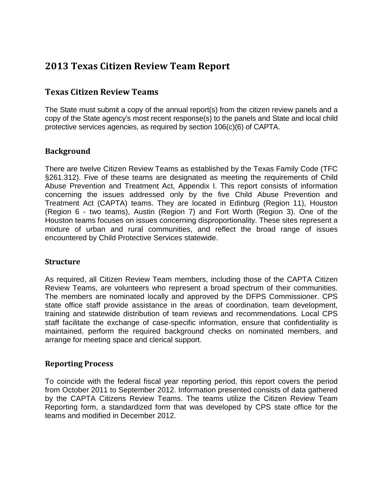# **2013 Texas Citizen Review Team Report**

## **Texas Citizen Review Teams**

The State must submit a copy of the annual report(s) from the citizen review panels and a copy of the State agency's most recent response(s) to the panels and State and local child protective services agencies, as required by section 106(c)(6) of CAPTA.

## **Background**

There are twelve Citizen Review Teams as established by the Texas Family Code (TFC §261.312). Five of these teams are designated as meeting the requirements of Child Abuse Prevention and Treatment Act, Appendix I. This report consists of information concerning the issues addressed only by the five Child Abuse Prevention and Treatment Act (CAPTA) teams. They are located in Edinburg (Region 11), Houston (Region 6 - two teams), Austin (Region 7) and Fort Worth (Region 3). One of the Houston teams focuses on issues concerning disproportionality. These sites represent a mixture of urban and rural communities, and reflect the broad range of issues encountered by Child Protective Services statewide.

#### **Structure**

As required, all Citizen Review Team members, including those of the CAPTA Citizen Review Teams, are volunteers who represent a broad spectrum of their communities. The members are nominated locally and approved by the DFPS Commissioner. CPS state office staff provide assistance in the areas of coordination, team development, training and statewide distribution of team reviews and recommendations. Local CPS staff facilitate the exchange of case-specific information, ensure that confidentiality is maintained, perform the required background checks on nominated members, and arrange for meeting space and clerical support.

#### **Reporting Process**

To coincide with the federal fiscal year reporting period, this report covers the period from October 2011 to September 2012. Information presented consists of data gathered by the CAPTA Citizens Review Teams. The teams utilize the Citizen Review Team Reporting form, a standardized form that was developed by CPS state office for the teams and modified in December 2012.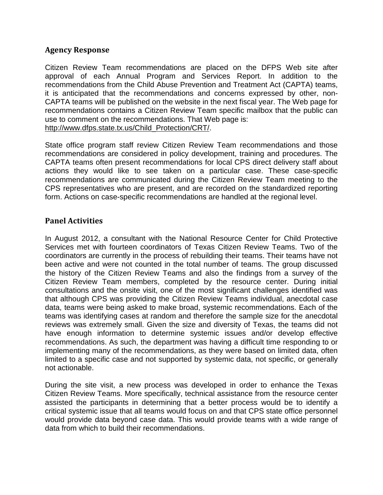#### **Agency Response**

Citizen Review Team recommendations are placed on the DFPS Web site after approval of each Annual Program and Services Report. In addition to the recommendations from the Child Abuse Prevention and Treatment Act (CAPTA) teams, it is anticipated that the recommendations and concerns expressed by other, non-CAPTA teams will be published on the website in the next fiscal year. The Web page for recommendations contains a Citizen Review Team specific mailbox that the public can use to comment on the recommendations. That Web page is: [http://www.dfps.state.tx.us/Child\\_Protection/CRT/.](http://www.dfps.state.tx.us/Child_Protection/CRT/)

State office program staff review Citizen Review Team recommendations and those recommendations are considered in policy development, training and procedures. The CAPTA teams often present recommendations for local CPS direct delivery staff about actions they would like to see taken on a particular case. These case-specific recommendations are communicated during the Citizen Review Team meeting to the CPS representatives who are present, and are recorded on the standardized reporting form. Actions on case-specific recommendations are handled at the regional level.

#### **Panel Activities**

In August 2012, a consultant with the National Resource Center for Child Protective Services met with fourteen coordinators of Texas Citizen Review Teams. Two of the coordinators are currently in the process of rebuilding their teams. Their teams have not been active and were not counted in the total number of teams. The group discussed the history of the Citizen Review Teams and also the findings from a survey of the Citizen Review Team members, completed by the resource center. During initial consultations and the onsite visit, one of the most significant challenges identified was that although CPS was providing the Citizen Review Teams individual, anecdotal case data, teams were being asked to make broad, systemic recommendations. Each of the teams was identifying cases at random and therefore the sample size for the anecdotal reviews was extremely small. Given the size and diversity of Texas, the teams did not have enough information to determine systemic issues and/or develop effective recommendations. As such, the department was having a difficult time responding to or implementing many of the recommendations, as they were based on limited data, often limited to a specific case and not supported by systemic data, not specific, or generally not actionable.

During the site visit, a new process was developed in order to enhance the Texas Citizen Review Teams. More specifically, technical assistance from the resource center assisted the participants in determining that a better process would be to identify a critical systemic issue that all teams would focus on and that CPS state office personnel would provide data beyond case data. This would provide teams with a wide range of data from which to build their recommendations.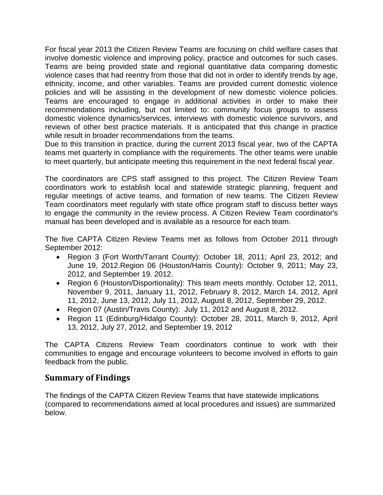For fiscal year 2013 the Citizen Review Teams are focusing on child welfare cases that involve domestic violence and improving policy, practice and outcomes for such cases. Teams are being provided state and regional quantitative data comparing domestic violence cases that had reentry from those that did not in order to identify trends by age, ethnicity, income, and other variables. Teams are provided current domestic violence policies and will be assisting in the development of new domestic violence policies. Teams are encouraged to engage in additional activities in order to make their recommendations including, but not limited to: community focus groups to assess domestic violence dynamics/services, interviews with domestic violence survivors, and reviews of other best practice materials. It is anticipated that this change in practice while result in broader recommendations from the teams.

Due to this transition in practice, during the current 2013 fiscal year, two of the CAPTA teams met quarterly in compliance with the requirements. The other teams were unable to meet quarterly, but anticipate meeting this requirement in the next federal fiscal year.

The coordinators are CPS staff assigned to this project. The Citizen Review Team coordinators work to establish local and statewide strategic planning, frequent and regular meetings of active teams, and formation of new teams. The Citizen Review Team coordinators meet regularly with state office program staff to discuss better ways to engage the community in the review process. A Citizen Review Team coordinator's manual has been developed and is available as a resource for each team.

The five CAPTA Citizen Review Teams met as follows from October 2011 through September 2012:

- Region 3 (Fort Worth/Tarrant County): October 18, 2011; April 23, 2012; and June 19, 2012.Region 06 (Houston/Harris County): October 9, 2011; May 23, 2012, and September 19. 2012.
- Region 6 (Houston/Disportionality): This team meets monthly. October 12, 2011, November 9, 2011, January 11, 2012, February 8, 2012, March 14, 2012, April 11, 2012, June 13, 2012, July 11, 2012, August 8, 2012, September 29, 2012.
- Region 07 (Austin/Travis County): July 11, 2012 and August 8, 2012.
- Region 11 (Edinburg/Hidalgo County): October 28, 2011, March 9, 2012, April 13, 2012, July 27, 2012, and September 19, 2012

The CAPTA Citizens Review Team coordinators continue to work with their communities to engage and encourage volunteers to become involved in efforts to gain feedback from the public.

# **Summary of Findings**

The findings of the CAPTA Citizen Review Teams that have statewide implications (compared to recommendations aimed at local procedures and issues) are summarized below.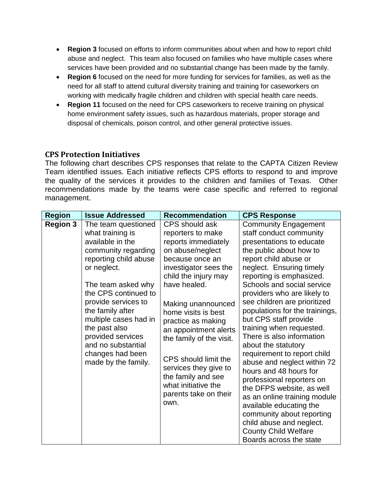- **Region 3** focused on efforts to inform communities about when and how to report child abuse and neglect. This team also focused on families who have multiple cases where services have been provided and no substantial change has been made by the family.
- **Region 6** focused on the need for more funding for services for families, as well as the need for all staff to attend cultural diversity training and training for caseworkers on working with medically fragile children and children with special health care needs.
- **Region 11** focused on the need for CPS caseworkers to receive training on physical home environment safety issues, such as hazardous materials, proper storage and disposal of chemicals, poison control, and other general protective issues.

## **CPS Protection Initiatives**

The following chart describes CPS responses that relate to the CAPTA Citizen Review Team identified issues. Each initiative reflects CPS efforts to respond to and improve the quality of the services it provides to the children and families of Texas. Other recommendations made by the teams were case specific and referred to regional management.

| <b>Region</b>   | <b>Issue Addressed</b>                                                                                                                                                                                                                                                                                                                              | <b>Recommendation</b>                                                                                                                                                                                                                                                                                                                                                                                                     | <b>CPS Response</b>                                                                                                                                                                                                                                                                                                                                                                                                                                                                                                                                                                                                                                                                                                                                                    |
|-----------------|-----------------------------------------------------------------------------------------------------------------------------------------------------------------------------------------------------------------------------------------------------------------------------------------------------------------------------------------------------|---------------------------------------------------------------------------------------------------------------------------------------------------------------------------------------------------------------------------------------------------------------------------------------------------------------------------------------------------------------------------------------------------------------------------|------------------------------------------------------------------------------------------------------------------------------------------------------------------------------------------------------------------------------------------------------------------------------------------------------------------------------------------------------------------------------------------------------------------------------------------------------------------------------------------------------------------------------------------------------------------------------------------------------------------------------------------------------------------------------------------------------------------------------------------------------------------------|
| <b>Region 3</b> | The team questioned<br>what training is<br>available in the<br>community regarding<br>reporting child abuse<br>or neglect.<br>The team asked why<br>the CPS continued to<br>provide services to<br>the family after<br>multiple cases had in<br>the past also<br>provided services<br>and no substantial<br>changes had been<br>made by the family. | CPS should ask<br>reporters to make<br>reports immediately<br>on abuse/neglect<br>because once an<br>investigator sees the<br>child the injury may<br>have healed.<br>Making unannounced<br>home visits is best<br>practice as making<br>an appointment alerts<br>the family of the visit.<br>CPS should limit the<br>services they give to<br>the family and see<br>what initiative the<br>parents take on their<br>own. | <b>Community Engagement</b><br>staff conduct community<br>presentations to educate<br>the public about how to<br>report child abuse or<br>neglect. Ensuring timely<br>reporting is emphasized.<br>Schools and social service<br>providers who are likely to<br>see children are prioritized<br>populations for the trainings,<br>but CPS staff provide<br>training when requested.<br>There is also information<br>about the statutory<br>requirement to report child<br>abuse and neglect within 72<br>hours and 48 hours for<br>professional reporters on<br>the DFPS website, as well<br>as an online training module<br>available educating the<br>community about reporting<br>child abuse and neglect.<br><b>County Child Welfare</b><br>Boards across the state |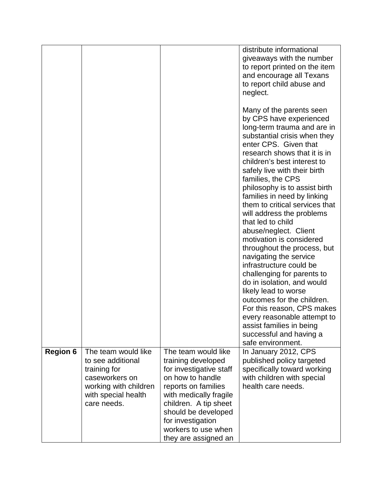|                 |                                         |                                             | distribute informational<br>giveaways with the number |
|-----------------|-----------------------------------------|---------------------------------------------|-------------------------------------------------------|
|                 |                                         |                                             | to report printed on the item                         |
|                 |                                         |                                             | and encourage all Texans                              |
|                 |                                         |                                             | to report child abuse and                             |
|                 |                                         |                                             | neglect.                                              |
|                 |                                         |                                             |                                                       |
|                 |                                         |                                             | Many of the parents seen                              |
|                 |                                         |                                             | by CPS have experienced                               |
|                 |                                         |                                             | long-term trauma and are in                           |
|                 |                                         |                                             | substantial crisis when they                          |
|                 |                                         |                                             | enter CPS. Given that                                 |
|                 |                                         |                                             | research shows that it is in                          |
|                 |                                         |                                             | children's best interest to                           |
|                 |                                         |                                             | safely live with their birth                          |
|                 |                                         |                                             | families, the CPS                                     |
|                 |                                         |                                             | philosophy is to assist birth                         |
|                 |                                         |                                             | families in need by linking                           |
|                 |                                         |                                             | them to critical services that                        |
|                 |                                         |                                             | will address the problems<br>that led to child        |
|                 |                                         |                                             | abuse/neglect. Client                                 |
|                 |                                         |                                             | motivation is considered                              |
|                 |                                         |                                             | throughout the process, but                           |
|                 |                                         |                                             | navigating the service                                |
|                 |                                         |                                             | infrastructure could be                               |
|                 |                                         |                                             | challenging for parents to                            |
|                 |                                         |                                             | do in isolation, and would                            |
|                 |                                         |                                             | likely lead to worse                                  |
|                 |                                         |                                             | outcomes for the children.                            |
|                 |                                         |                                             | For this reason, CPS makes                            |
|                 |                                         |                                             | every reasonable attempt to                           |
|                 |                                         |                                             | assist families in being                              |
|                 |                                         |                                             | successful and having a                               |
|                 |                                         |                                             | safe environment.                                     |
| <b>Region 6</b> | The team would like                     | The team would like                         | In January 2012, CPS                                  |
|                 | to see additional                       | training developed                          | published policy targeted                             |
|                 | training for                            | for investigative staff<br>on how to handle | specifically toward working                           |
|                 | caseworkers on<br>working with children | reports on families                         | with children with special<br>health care needs.      |
|                 | with special health                     | with medically fragile                      |                                                       |
|                 | care needs.                             | children. A tip sheet                       |                                                       |
|                 |                                         | should be developed                         |                                                       |
|                 |                                         | for investigation                           |                                                       |
|                 |                                         | workers to use when                         |                                                       |
|                 |                                         | they are assigned an                        |                                                       |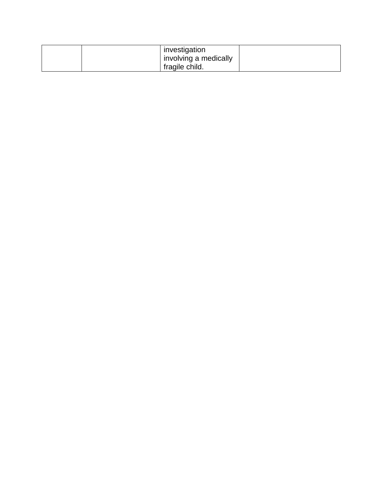|  | investigation         |  |
|--|-----------------------|--|
|  | involving a medically |  |
|  | fragile child.        |  |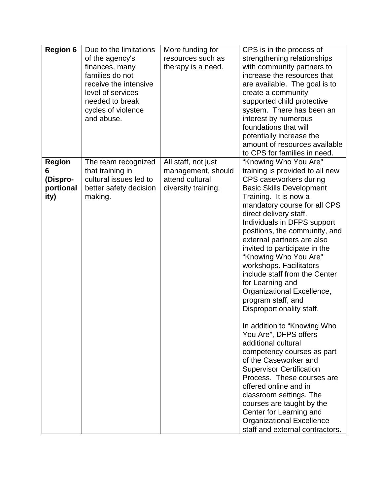| <b>Region 6</b>                                     | Due to the limitations<br>of the agency's<br>finances, many<br>families do not<br>receive the intensive<br>level of services<br>needed to break<br>cycles of violence<br>and abuse. | More funding for<br>resources such as<br>therapy is a need.                         | CPS is in the process of<br>strengthening relationships<br>with community partners to<br>increase the resources that<br>are available. The goal is to<br>create a community<br>supported child protective<br>system. There has been an<br>interest by numerous<br>foundations that will<br>potentially increase the<br>amount of resources available<br>to CPS for families in need.                                                                                                                                                                                                                                                                                                                                                                                                                                                                                                                                        |
|-----------------------------------------------------|-------------------------------------------------------------------------------------------------------------------------------------------------------------------------------------|-------------------------------------------------------------------------------------|-----------------------------------------------------------------------------------------------------------------------------------------------------------------------------------------------------------------------------------------------------------------------------------------------------------------------------------------------------------------------------------------------------------------------------------------------------------------------------------------------------------------------------------------------------------------------------------------------------------------------------------------------------------------------------------------------------------------------------------------------------------------------------------------------------------------------------------------------------------------------------------------------------------------------------|
| <b>Region</b><br>6<br>(Dispro-<br>portional<br>ity) | The team recognized<br>that training in<br>cultural issues led to<br>better safety decision<br>making.                                                                              | All staff, not just<br>management, should<br>attend cultural<br>diversity training. | "Knowing Who You Are"<br>training is provided to all new<br>CPS caseworkers during<br><b>Basic Skills Development</b><br>Training. It is now a<br>mandatory course for all CPS<br>direct delivery staff.<br>Individuals in DFPS support<br>positions, the community, and<br>external partners are also<br>invited to participate in the<br>"Knowing Who You Are"<br>workshops. Facilitators<br>include staff from the Center<br>for Learning and<br>Organizational Excellence,<br>program staff, and<br>Disproportionality staff.<br>In addition to "Knowing Who<br>You Are", DFPS offers<br>additional cultural<br>competency courses as part<br>of the Caseworker and<br><b>Supervisor Certification</b><br>Process. These courses are<br>offered online and in<br>classroom settings. The<br>courses are taught by the<br>Center for Learning and<br><b>Organizational Excellence</b><br>staff and external contractors. |